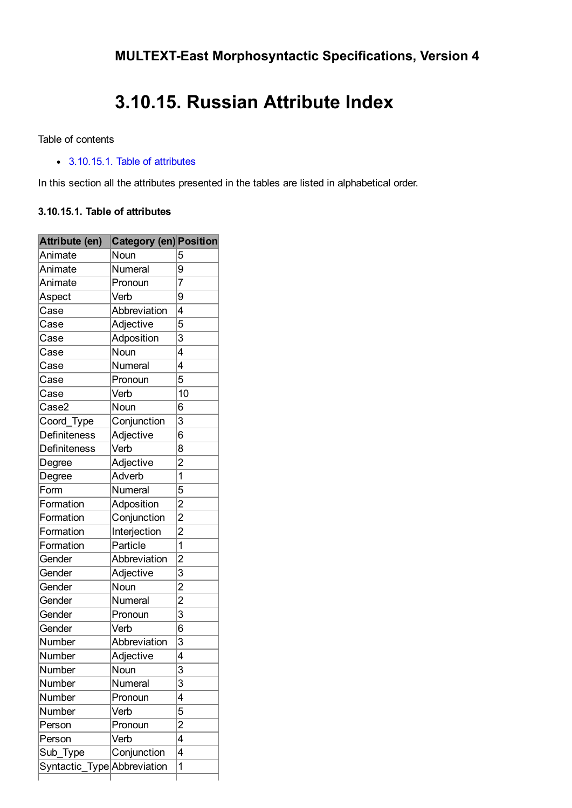## 3.10.15. Russian Attribute Index

Table of contents

[3.10.15.1.](#page-0-0) Table of attributes

In this section all the attributes presented in the tables are listed in alphabetical order.

## <span id="page-0-0"></span>3.10.15.1. Table of attributes

| Attribute (en)              | <b>Category (en) Position</b> |                |
|-----------------------------|-------------------------------|----------------|
| Animate                     | Noun                          | 5              |
| Animate                     | Numeral                       | 9              |
| Animate                     | Pronoun                       | $\overline{7}$ |
| Aspect                      | Verb                          | 9              |
| Case                        | Abbreviation                  | 4              |
| Case                        | Adjective                     | 5              |
| Case                        | Adposition                    | 3              |
| Case                        | Noun                          | 4              |
| Case                        | Numeral                       | 4              |
| Case                        | Pronoun                       | 5              |
| Case                        | Verb                          | 10             |
| Case2                       | Noun                          | 6              |
| Coord_Type                  | Conjunction                   | 3              |
| Definiteness                | Adjective                     | 6              |
| Definiteness                | Verb                          | 8              |
| Degree                      | Adjective                     | $\overline{c}$ |
| Degree                      | Adverb                        | 1              |
| Form                        | Numeral                       | 5              |
| Formation                   | Adposition                    | $\overline{2}$ |
| Formation                   | Conjunction                   | $\overline{2}$ |
| Formation                   | Interjection                  | $\overline{c}$ |
| Formation                   | Particle                      | 1              |
| Gender                      | Abbreviation                  | $\overline{c}$ |
| Gender                      | Adjective                     | 3              |
| Gender                      | .<br>Noun                     | $\overline{2}$ |
| Gender                      | Numeral                       | $\overline{c}$ |
| Gender                      | Pronoun                       | 3              |
| Gender                      | Verb                          | 6              |
| Number                      | Abbreviation                  | 3              |
| Number                      | Adjective                     | 4              |
| Number                      | <u>Noun</u>                   | 3              |
| Number                      | Numeral                       | 3              |
| Number                      | Pronoun                       | 4              |
| Number                      | Verb                          | 5              |
| Person                      | Pronoun                       | $\overline{c}$ |
| Person                      | Verb                          | 4              |
| Sub_Type                    | Conjunction                   | 4              |
| Syntactic_Type Abbreviation |                               | 1              |
|                             |                               |                |